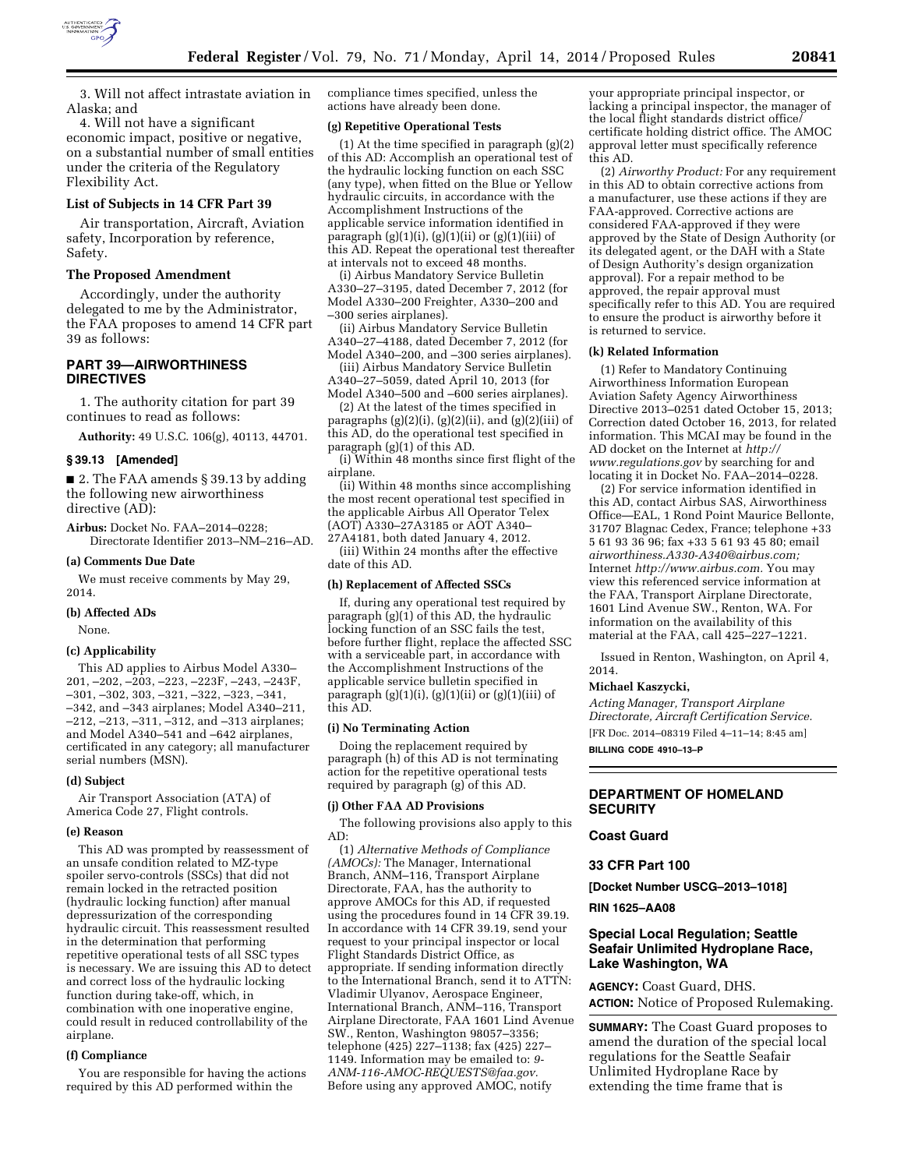

3. Will not affect intrastate aviation in Alaska; and

4. Will not have a significant economic impact, positive or negative, on a substantial number of small entities under the criteria of the Regulatory Flexibility Act.

## **List of Subjects in 14 CFR Part 39**

Air transportation, Aircraft, Aviation safety, Incorporation by reference, Safety.

## **The Proposed Amendment**

Accordingly, under the authority delegated to me by the Administrator, the FAA proposes to amend 14 CFR part 39 as follows:

## **PART 39—AIRWORTHINESS DIRECTIVES**

1. The authority citation for part 39 continues to read as follows:

**Authority:** 49 U.S.C. 106(g), 40113, 44701.

## **§ 39.13 [Amended]**

■ 2. The FAA amends § 39.13 by adding the following new airworthiness directive (AD):

**Airbus:** Docket No. FAA–2014–0228; Directorate Identifier 2013–NM–216–AD.

#### **(a) Comments Due Date**

We must receive comments by May 29, 2014.

#### **(b) Affected ADs**

None.

## **(c) Applicability**

This AD applies to Airbus Model A330– 201, –202, –203, –223, –223F, –243, –243F, –301, –302, 303, –321, –322, –323, –341, –342, and –343 airplanes; Model A340–211, –212, –213, –311, –312, and –313 airplanes; and Model A340–541 and –642 airplanes, certificated in any category; all manufacturer serial numbers (MSN).

#### **(d) Subject**

Air Transport Association (ATA) of America Code 27, Flight controls.

#### **(e) Reason**

This AD was prompted by reassessment of an unsafe condition related to MZ-type spoiler servo-controls (SSCs) that did not remain locked in the retracted position (hydraulic locking function) after manual depressurization of the corresponding hydraulic circuit. This reassessment resulted in the determination that performing repetitive operational tests of all SSC types is necessary. We are issuing this AD to detect and correct loss of the hydraulic locking function during take-off, which, in combination with one inoperative engine, could result in reduced controllability of the airplane.

#### **(f) Compliance**

You are responsible for having the actions required by this AD performed within the

compliance times specified, unless the actions have already been done.

#### **(g) Repetitive Operational Tests**

(1) At the time specified in paragraph (g)(2) of this AD: Accomplish an operational test of the hydraulic locking function on each SSC (any type), when fitted on the Blue or Yellow hydraulic circuits, in accordance with the Accomplishment Instructions of the applicable service information identified in paragraph  $(g)(1)(i)$ ,  $(g)(1)(ii)$  or  $(g)(1)(iii)$  of this AD. Repeat the operational test thereafter at intervals not to exceed 48 months.

(i) Airbus Mandatory Service Bulletin A330–27–3195, dated December 7, 2012 (for Model A330–200 Freighter, A330–200 and –300 series airplanes).

(ii) Airbus Mandatory Service Bulletin A340–27–4188, dated December 7, 2012 (for Model A340–200, and –300 series airplanes).

(iii) Airbus Mandatory Service Bulletin A340–27–5059, dated April 10, 2013 (for Model A340–500 and –600 series airplanes).

(2) At the latest of the times specified in paragraphs  $(g)(2)(i)$ ,  $(g)(2)(ii)$ , and  $(g)(2)(iii)$  of this AD, do the operational test specified in paragraph (g)(1) of this AD.

(i) Within 48 months since first flight of the airplane.

(ii) Within 48 months since accomplishing the most recent operational test specified in the applicable Airbus All Operator Telex (AOT) A330–27A3185 or AOT A340– 27A4181, both dated January 4, 2012.

(iii) Within 24 months after the effective date of this AD.

#### **(h) Replacement of Affected SSCs**

If, during any operational test required by paragraph (g)(1) of this AD, the hydraulic locking function of an SSC fails the test, before further flight, replace the affected SSC with a serviceable part, in accordance with the Accomplishment Instructions of the applicable service bulletin specified in paragraph  $(g)(1)(i)$ ,  $(g)(1)(ii)$  or  $(g)(1)(iii)$  of this AD.

## **(i) No Terminating Action**

Doing the replacement required by paragraph (h) of this AD is not terminating action for the repetitive operational tests required by paragraph (g) of this AD.

#### **(j) Other FAA AD Provisions**

The following provisions also apply to this AD:

(1) *Alternative Methods of Compliance (AMOCs):* The Manager, International Branch, ANM–116, Transport Airplane Directorate, FAA, has the authority to approve AMOCs for this AD, if requested using the procedures found in 14 CFR 39.19. In accordance with 14 CFR 39.19, send your request to your principal inspector or local Flight Standards District Office, as appropriate. If sending information directly to the International Branch, send it to ATTN: Vladimir Ulyanov, Aerospace Engineer, International Branch, ANM–116, Transport Airplane Directorate, FAA 1601 Lind Avenue SW., Renton, Washington 98057–3356; telephone (425) 227–1138; fax (425) 227– 1149. Information may be emailed to: *[9-](mailto:9-ANM-116-AMOC-REQUESTS@faa.gov)  [ANM-116-AMOC-REQUESTS@faa.gov.](mailto:9-ANM-116-AMOC-REQUESTS@faa.gov)*  Before using any approved AMOC, notify

your appropriate principal inspector, or lacking a principal inspector, the manager of the local flight standards district office/ certificate holding district office. The AMOC approval letter must specifically reference this AD.

(2) *Airworthy Product:* For any requirement in this AD to obtain corrective actions from a manufacturer, use these actions if they are FAA-approved. Corrective actions are considered FAA-approved if they were approved by the State of Design Authority (or its delegated agent, or the DAH with a State of Design Authority's design organization approval). For a repair method to be approved, the repair approval must specifically refer to this AD. You are required to ensure the product is airworthy before it is returned to service.

#### **(k) Related Information**

(1) Refer to Mandatory Continuing Airworthiness Information European Aviation Safety Agency Airworthiness Directive 2013–0251 dated October 15, 2013; Correction dated October 16, 2013, for related information. This MCAI may be found in the AD docket on the Internet at *[http://](http://www.regulations.gov) [www.regulations.gov](http://www.regulations.gov)* by searching for and locating it in Docket No. FAA–2014–0228.

(2) For service information identified in this AD, contact Airbus SAS, Airworthiness Office—EAL, 1 Rond Point Maurice Bellonte, 31707 Blagnac Cedex, France; telephone +33 5 61 93 36 96; fax +33 5 61 93 45 80; email *[airworthiness.A330-A340@airbus.com;](mailto:airworthiness.A330-A340@airbus.com)*  Internet *[http://www.airbus.com.](http://www.airbus.com)* You may view this referenced service information at the FAA, Transport Airplane Directorate, 1601 Lind Avenue SW., Renton, WA. For information on the availability of this material at the FAA, call 425–227–1221.

Issued in Renton, Washington, on April 4, 2014.

#### **Michael Kaszycki,**

*Acting Manager, Transport Airplane Directorate, Aircraft Certification Service.*  [FR Doc. 2014–08319 Filed 4–11–14; 8:45 am] **BILLING CODE 4910–13–P** 

## **DEPARTMENT OF HOMELAND SECURITY**

### **Coast Guard**

#### **33 CFR Part 100**

**[Docket Number USCG–2013–1018]** 

#### **RIN 1625–AA08**

## **Special Local Regulation; Seattle Seafair Unlimited Hydroplane Race, Lake Washington, WA**

**AGENCY:** Coast Guard, DHS. **ACTION:** Notice of Proposed Rulemaking.

**SUMMARY:** The Coast Guard proposes to amend the duration of the special local regulations for the Seattle Seafair Unlimited Hydroplane Race by extending the time frame that is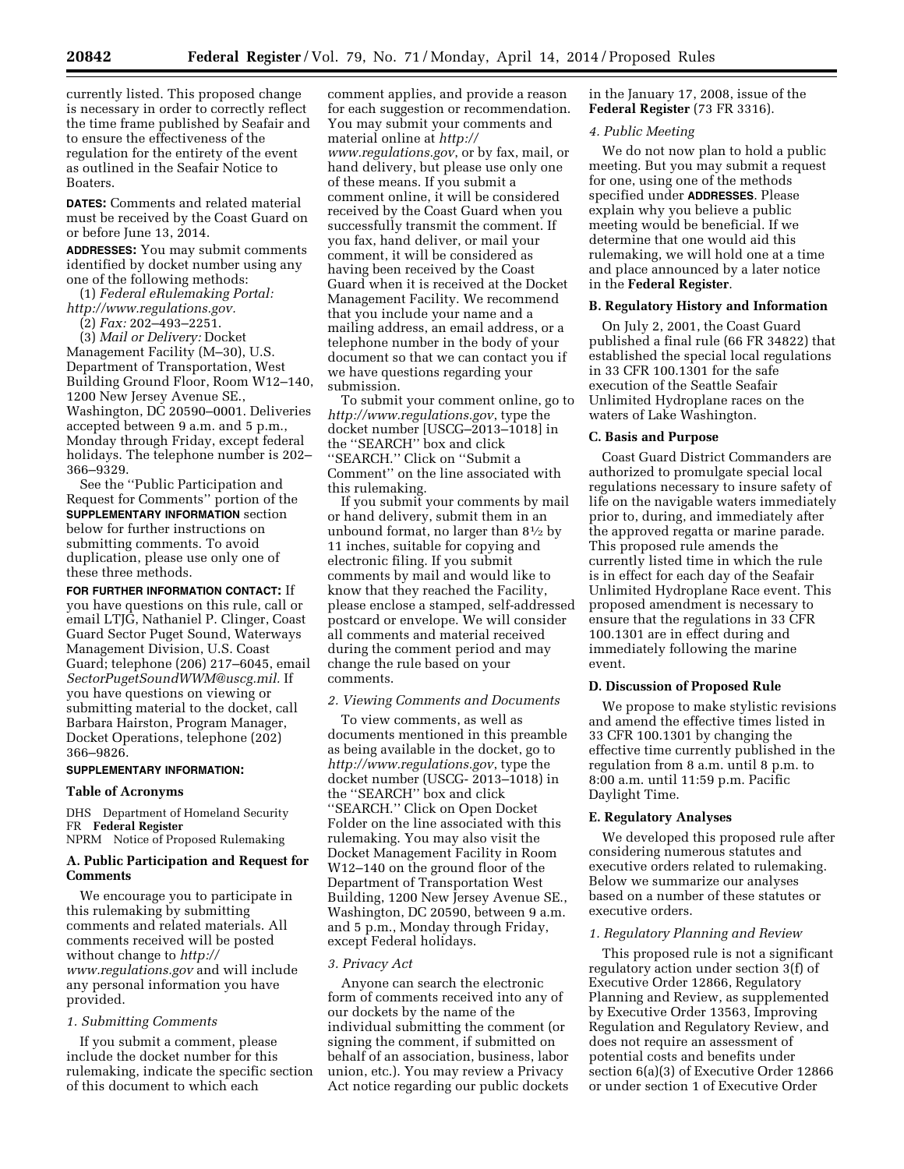currently listed. This proposed change is necessary in order to correctly reflect the time frame published by Seafair and to ensure the effectiveness of the regulation for the entirety of the event as outlined in the Seafair Notice to Boaters.

**DATES:** Comments and related material must be received by the Coast Guard on or before June 13, 2014.

**ADDRESSES:** You may submit comments identified by docket number using any one of the following methods:

(1) *Federal eRulemaking Portal:* 

*[http://www.regulations.gov.](http://www.regulations.gov)*  (2) *Fax:* 202–493–2251.

(3) *Mail or Delivery:* Docket Management Facility (M–30), U.S. Department of Transportation, West Building Ground Floor, Room W12–140, 1200 New Jersey Avenue SE., Washington, DC 20590–0001. Deliveries accepted between 9 a.m. and 5 p.m., Monday through Friday, except federal holidays. The telephone number is 202– 366–9329.

See the ''Public Participation and Request for Comments'' portion of the **SUPPLEMENTARY INFORMATION** section below for further instructions on submitting comments. To avoid duplication, please use only one of these three methods.

**FOR FURTHER INFORMATION CONTACT:** If you have questions on this rule, call or email LTJG, Nathaniel P. Clinger, Coast Guard Sector Puget Sound, Waterways Management Division, U.S. Coast Guard; telephone (206) 217–6045, email *[SectorPugetSoundWWM@uscg.mil.](mailto:SectorPugetSoundWWM@uscg.mil)* If you have questions on viewing or submitting material to the docket, call Barbara Hairston, Program Manager, Docket Operations, telephone (202) 366–9826.

## **SUPPLEMENTARY INFORMATION:**

## **Table of Acronyms**

DHS Department of Homeland Security FR **Federal Register**  NPRM Notice of Proposed Rulemaking

# **A. Public Participation and Request for Comments**

We encourage you to participate in this rulemaking by submitting comments and related materials. All comments received will be posted without change to *[http://](http://www.regulations.gov) [www.regulations.gov](http://www.regulations.gov)* and will include any personal information you have provided.

## *1. Submitting Comments*

If you submit a comment, please include the docket number for this rulemaking, indicate the specific section of this document to which each

comment applies, and provide a reason for each suggestion or recommendation. You may submit your comments and material online at *[http://](http://www.regulations.gov) [www.regulations.gov](http://www.regulations.gov)*, or by fax, mail, or hand delivery, but please use only one of these means. If you submit a comment online, it will be considered received by the Coast Guard when you successfully transmit the comment. If you fax, hand deliver, or mail your comment, it will be considered as having been received by the Coast Guard when it is received at the Docket Management Facility. We recommend that you include your name and a mailing address, an email address, or a telephone number in the body of your document so that we can contact you if we have questions regarding your submission.

To submit your comment online, go to *<http://www.regulations.gov>*, type the docket number [USCG–2013–1018] in the ''SEARCH'' box and click ''SEARCH.'' Click on ''Submit a Comment'' on the line associated with this rulemaking.

If you submit your comments by mail or hand delivery, submit them in an unbound format, no larger than  $8\frac{1}{2}$  by 11 inches, suitable for copying and electronic filing. If you submit comments by mail and would like to know that they reached the Facility, please enclose a stamped, self-addressed postcard or envelope. We will consider all comments and material received during the comment period and may change the rule based on your comments.

#### *2. Viewing Comments and Documents*

To view comments, as well as documents mentioned in this preamble as being available in the docket, go to *<http://www.regulations.gov>*, type the docket number (USCG- 2013–1018) in the ''SEARCH'' box and click ''SEARCH.'' Click on Open Docket Folder on the line associated with this rulemaking. You may also visit the Docket Management Facility in Room W12–140 on the ground floor of the Department of Transportation West Building, 1200 New Jersey Avenue SE., Washington, DC 20590, between 9 a.m. and 5 p.m., Monday through Friday, except Federal holidays.

## *3. Privacy Act*

Anyone can search the electronic form of comments received into any of our dockets by the name of the individual submitting the comment (or signing the comment, if submitted on behalf of an association, business, labor union, etc.). You may review a Privacy Act notice regarding our public dockets

in the January 17, 2008, issue of the **Federal Register** (73 FR 3316).

## *4. Public Meeting*

We do not now plan to hold a public meeting. But you may submit a request for one, using one of the methods specified under **ADDRESSES**. Please explain why you believe a public meeting would be beneficial. If we determine that one would aid this rulemaking, we will hold one at a time and place announced by a later notice in the **Federal Register**.

## **B. Regulatory History and Information**

On July 2, 2001, the Coast Guard published a final rule (66 FR 34822) that established the special local regulations in 33 CFR 100.1301 for the safe execution of the Seattle Seafair Unlimited Hydroplane races on the waters of Lake Washington.

## **C. Basis and Purpose**

Coast Guard District Commanders are authorized to promulgate special local regulations necessary to insure safety of life on the navigable waters immediately prior to, during, and immediately after the approved regatta or marine parade. This proposed rule amends the currently listed time in which the rule is in effect for each day of the Seafair Unlimited Hydroplane Race event. This proposed amendment is necessary to ensure that the regulations in 33 CFR 100.1301 are in effect during and immediately following the marine event.

## **D. Discussion of Proposed Rule**

We propose to make stylistic revisions and amend the effective times listed in 33 CFR 100.1301 by changing the effective time currently published in the regulation from 8 a.m. until 8 p.m. to 8:00 a.m. until 11:59 p.m. Pacific Daylight Time.

## **E. Regulatory Analyses**

We developed this proposed rule after considering numerous statutes and executive orders related to rulemaking. Below we summarize our analyses based on a number of these statutes or executive orders.

## *1. Regulatory Planning and Review*

This proposed rule is not a significant regulatory action under section 3(f) of Executive Order 12866, Regulatory Planning and Review, as supplemented by Executive Order 13563, Improving Regulation and Regulatory Review, and does not require an assessment of potential costs and benefits under section 6(a)(3) of Executive Order 12866 or under section 1 of Executive Order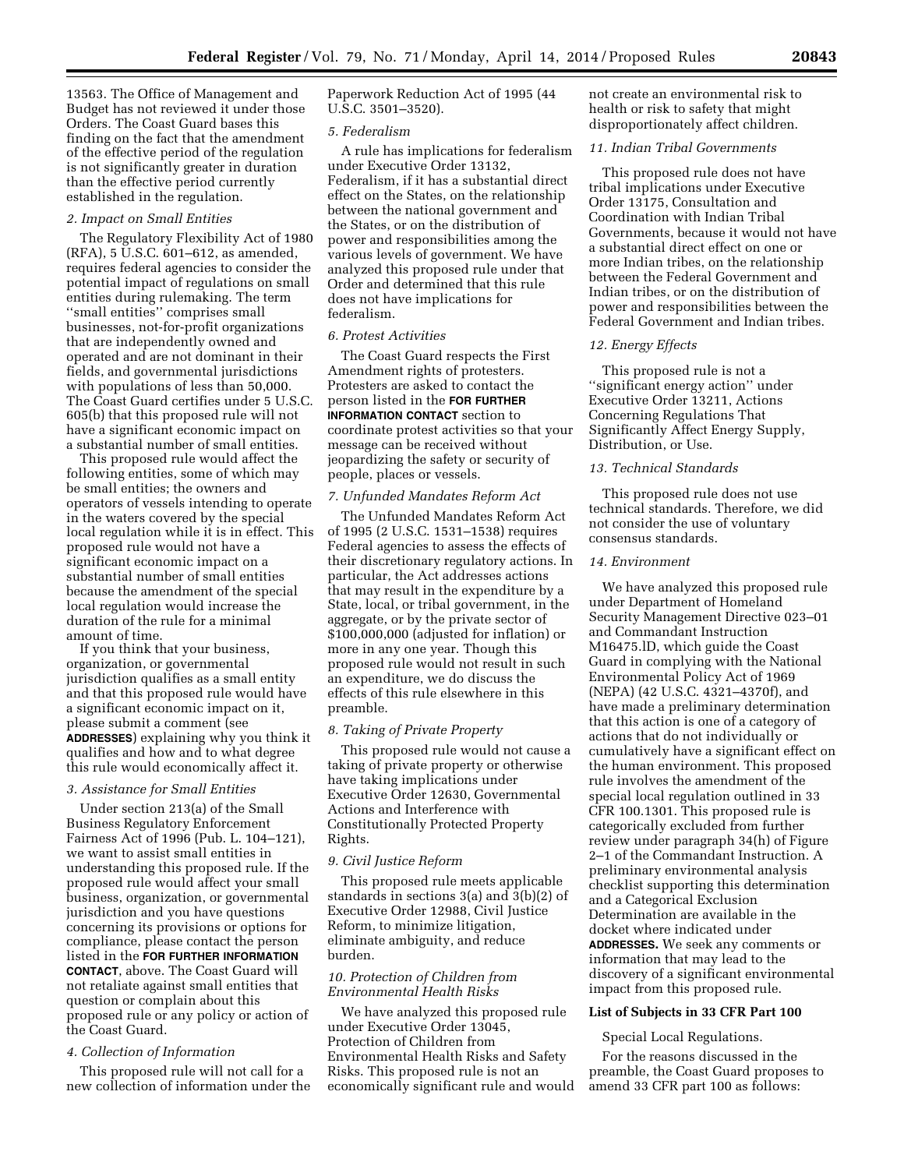13563. The Office of Management and Budget has not reviewed it under those Orders. The Coast Guard bases this finding on the fact that the amendment of the effective period of the regulation is not significantly greater in duration than the effective period currently established in the regulation.

## *2. Impact on Small Entities*

The Regulatory Flexibility Act of 1980 (RFA), 5 U.S.C. 601–612, as amended, requires federal agencies to consider the potential impact of regulations on small entities during rulemaking. The term ''small entities'' comprises small businesses, not-for-profit organizations that are independently owned and operated and are not dominant in their fields, and governmental jurisdictions with populations of less than 50,000. The Coast Guard certifies under 5 U.S.C. 605(b) that this proposed rule will not have a significant economic impact on a substantial number of small entities.

This proposed rule would affect the following entities, some of which may be small entities; the owners and operators of vessels intending to operate in the waters covered by the special local regulation while it is in effect. This proposed rule would not have a significant economic impact on a substantial number of small entities because the amendment of the special local regulation would increase the duration of the rule for a minimal amount of time.

If you think that your business, organization, or governmental jurisdiction qualifies as a small entity and that this proposed rule would have a significant economic impact on it, please submit a comment (see **ADDRESSES**) explaining why you think it qualifies and how and to what degree this rule would economically affect it.

## *3. Assistance for Small Entities*

Under section 213(a) of the Small Business Regulatory Enforcement Fairness Act of 1996 (Pub. L. 104–121), we want to assist small entities in understanding this proposed rule. If the proposed rule would affect your small business, organization, or governmental jurisdiction and you have questions concerning its provisions or options for compliance, please contact the person listed in the **FOR FURTHER INFORMATION CONTACT**, above. The Coast Guard will not retaliate against small entities that question or complain about this proposed rule or any policy or action of the Coast Guard.

# *4. Collection of Information*

This proposed rule will not call for a new collection of information under the Paperwork Reduction Act of 1995 (44 U.S.C. 3501–3520).

### *5. Federalism*

A rule has implications for federalism under Executive Order 13132, Federalism, if it has a substantial direct effect on the States, on the relationship between the national government and the States, or on the distribution of power and responsibilities among the various levels of government. We have analyzed this proposed rule under that Order and determined that this rule does not have implications for federalism.

## *6. Protest Activities*

The Coast Guard respects the First Amendment rights of protesters. Protesters are asked to contact the person listed in the **FOR FURTHER INFORMATION CONTACT** section to coordinate protest activities so that your message can be received without jeopardizing the safety or security of people, places or vessels.

## *7. Unfunded Mandates Reform Act*

The Unfunded Mandates Reform Act of 1995 (2 U.S.C. 1531–1538) requires Federal agencies to assess the effects of their discretionary regulatory actions. In particular, the Act addresses actions that may result in the expenditure by a State, local, or tribal government, in the aggregate, or by the private sector of \$100,000,000 (adjusted for inflation) or more in any one year. Though this proposed rule would not result in such an expenditure, we do discuss the effects of this rule elsewhere in this preamble.

## *8. Taking of Private Property*

This proposed rule would not cause a taking of private property or otherwise have taking implications under Executive Order 12630, Governmental Actions and Interference with Constitutionally Protected Property Rights.

## *9. Civil Justice Reform*

This proposed rule meets applicable standards in sections 3(a) and 3(b)(2) of Executive Order 12988, Civil Justice Reform, to minimize litigation, eliminate ambiguity, and reduce burden.

## *10. Protection of Children from Environmental Health Risks*

We have analyzed this proposed rule under Executive Order 13045, Protection of Children from Environmental Health Risks and Safety Risks. This proposed rule is not an economically significant rule and would not create an environmental risk to health or risk to safety that might disproportionately affect children.

## *11. Indian Tribal Governments*

This proposed rule does not have tribal implications under Executive Order 13175, Consultation and Coordination with Indian Tribal Governments, because it would not have a substantial direct effect on one or more Indian tribes, on the relationship between the Federal Government and Indian tribes, or on the distribution of power and responsibilities between the Federal Government and Indian tribes.

### *12. Energy Effects*

This proposed rule is not a ''significant energy action'' under Executive Order 13211, Actions Concerning Regulations That Significantly Affect Energy Supply, Distribution, or Use.

## *13. Technical Standards*

This proposed rule does not use technical standards. Therefore, we did not consider the use of voluntary consensus standards.

## *14. Environment*

We have analyzed this proposed rule under Department of Homeland Security Management Directive 023–01 and Commandant Instruction M16475.lD, which guide the Coast Guard in complying with the National Environmental Policy Act of 1969 (NEPA) (42 U.S.C. 4321–4370f), and have made a preliminary determination that this action is one of a category of actions that do not individually or cumulatively have a significant effect on the human environment. This proposed rule involves the amendment of the special local regulation outlined in 33 CFR 100.1301. This proposed rule is categorically excluded from further review under paragraph 34(h) of Figure 2–1 of the Commandant Instruction. A preliminary environmental analysis checklist supporting this determination and a Categorical Exclusion Determination are available in the docket where indicated under **ADDRESSES.** We seek any comments or information that may lead to the discovery of a significant environmental impact from this proposed rule.

## **List of Subjects in 33 CFR Part 100**

Special Local Regulations.

For the reasons discussed in the preamble, the Coast Guard proposes to amend 33 CFR part 100 as follows: